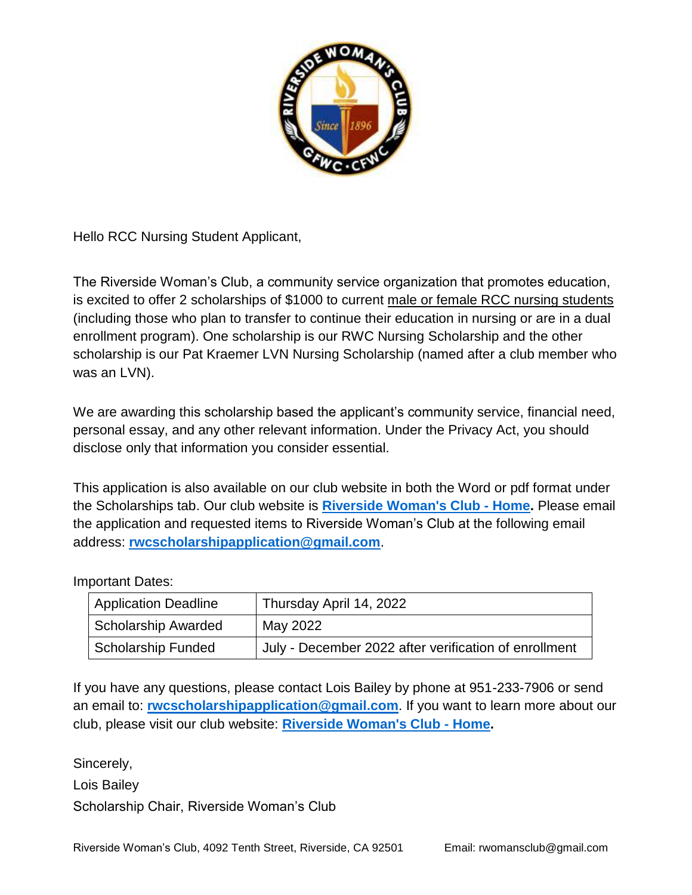

Hello RCC Nursing Student Applicant,

The Riverside Woman's Club, a community service organization that promotes education, is excited to offer 2 scholarships of \$1000 to current male or female RCC nursing students (including those who plan to transfer to continue their education in nursing or are in a dual enrollment program). One scholarship is our RWC Nursing Scholarship and the other scholarship is our Pat Kraemer LVN Nursing Scholarship (named after a club member who was an LVN).

We are awarding this scholarship based the applicant's community service, financial need, personal essay, and any other relevant information. Under the Privacy Act, you should disclose only that information you consider essential.

This application is also available on our club website in both the Word or pdf format under the Scholarships tab. Our club website is **[Riverside Woman's Club -](https://www.riversidewomansclub.com/) Home.** Please email the application and requested items to Riverside Woman's Club at the following email address: **[rwcscholarshipapplication@gmail.com](mailto:rwcscholarshipapplication@gmail.com)**.

### Important Dates:

| <b>Application Deadline</b> | Thursday April 14, 2022                               |
|-----------------------------|-------------------------------------------------------|
| Scholarship Awarded         | May 2022                                              |
| Scholarship Funded          | July - December 2022 after verification of enrollment |

If you have any questions, please contact Lois Bailey by phone at 951-233-7906 or send an email to: **[rwcscholarshipapplication@gmail.com](mailto:rwcscholarshipapplication@gmail.com)**. If you want to learn more about our club, please visit our club website: **[Riverside Woman's Club -](https://www.riversidewomansclub.com/) Home.**

Sincerely,

Lois Bailey

Scholarship Chair, Riverside Woman's Club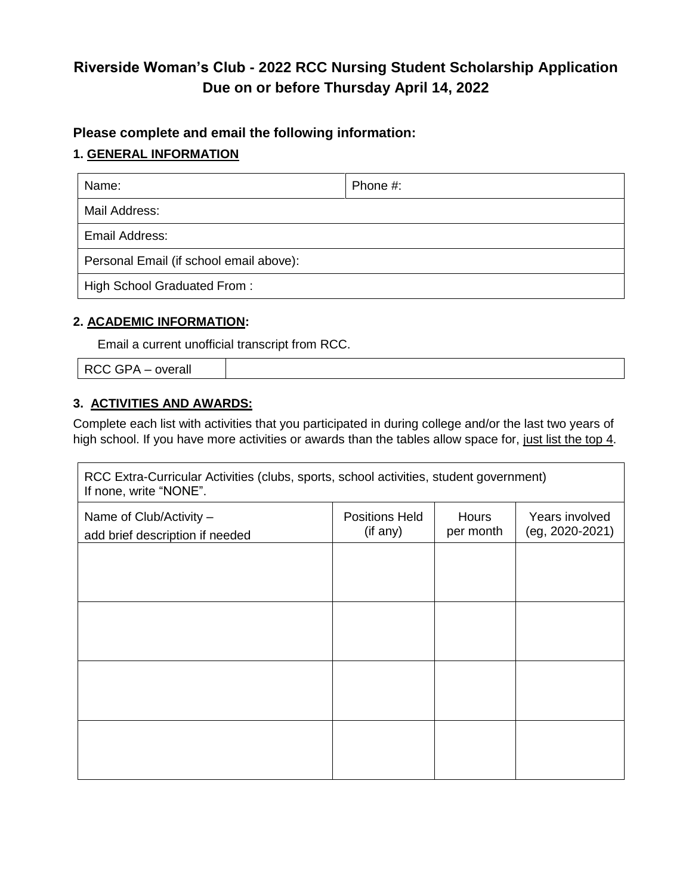# **Riverside Woman's Club - 2022 RCC Nursing Student Scholarship Application Due on or before Thursday April 14, 2022**

## **Please complete and email the following information:**

### **1. GENERAL INFORMATION**

| Name:                                   | Phone #: |  |  |
|-----------------------------------------|----------|--|--|
| Mail Address:                           |          |  |  |
| Email Address:                          |          |  |  |
| Personal Email (if school email above): |          |  |  |
| High School Graduated From:             |          |  |  |

### **2. ACADEMIC INFORMATION:**

Email a current unofficial transcript from RCC.

RCC GPA – overall

## **3. ACTIVITIES AND AWARDS:**

Complete each list with activities that you participated in during college and/or the last two years of high school. If you have more activities or awards than the tables allow space for, just list the top 4.

| RCC Extra-Curricular Activities (clubs, sports, school activities, student government)<br>If none, write "NONE". |                                   |                           |                                   |  |  |
|------------------------------------------------------------------------------------------------------------------|-----------------------------------|---------------------------|-----------------------------------|--|--|
| Name of Club/Activity -<br>add brief description if needed                                                       | <b>Positions Held</b><br>(if any) | <b>Hours</b><br>per month | Years involved<br>(eg, 2020-2021) |  |  |
|                                                                                                                  |                                   |                           |                                   |  |  |
|                                                                                                                  |                                   |                           |                                   |  |  |
|                                                                                                                  |                                   |                           |                                   |  |  |
|                                                                                                                  |                                   |                           |                                   |  |  |
|                                                                                                                  |                                   |                           |                                   |  |  |
|                                                                                                                  |                                   |                           |                                   |  |  |
|                                                                                                                  |                                   |                           |                                   |  |  |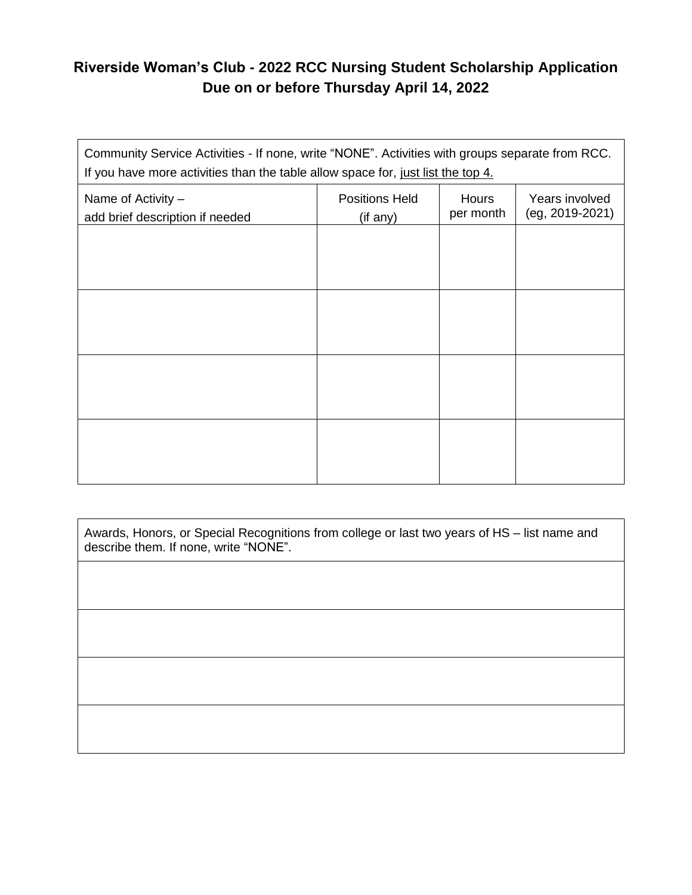## **Riverside Woman's Club - 2022 RCC Nursing Student Scholarship Application Due on or before Thursday April 14, 2022**

| Community Service Activities - If none, write "NONE". Activities with groups separate from RCC.<br>If you have more activities than the table allow space for, just list the top 4. |                                   |                           |                                   |  |  |
|-------------------------------------------------------------------------------------------------------------------------------------------------------------------------------------|-----------------------------------|---------------------------|-----------------------------------|--|--|
| Name of Activity -<br>add brief description if needed                                                                                                                               | <b>Positions Held</b><br>(if any) | <b>Hours</b><br>per month | Years involved<br>(eg, 2019-2021) |  |  |
|                                                                                                                                                                                     |                                   |                           |                                   |  |  |
|                                                                                                                                                                                     |                                   |                           |                                   |  |  |
|                                                                                                                                                                                     |                                   |                           |                                   |  |  |
|                                                                                                                                                                                     |                                   |                           |                                   |  |  |
|                                                                                                                                                                                     |                                   |                           |                                   |  |  |
|                                                                                                                                                                                     |                                   |                           |                                   |  |  |
|                                                                                                                                                                                     |                                   |                           |                                   |  |  |

Awards, Honors, or Special Recognitions from college or last two years of HS – list name and describe them. If none, write "NONE".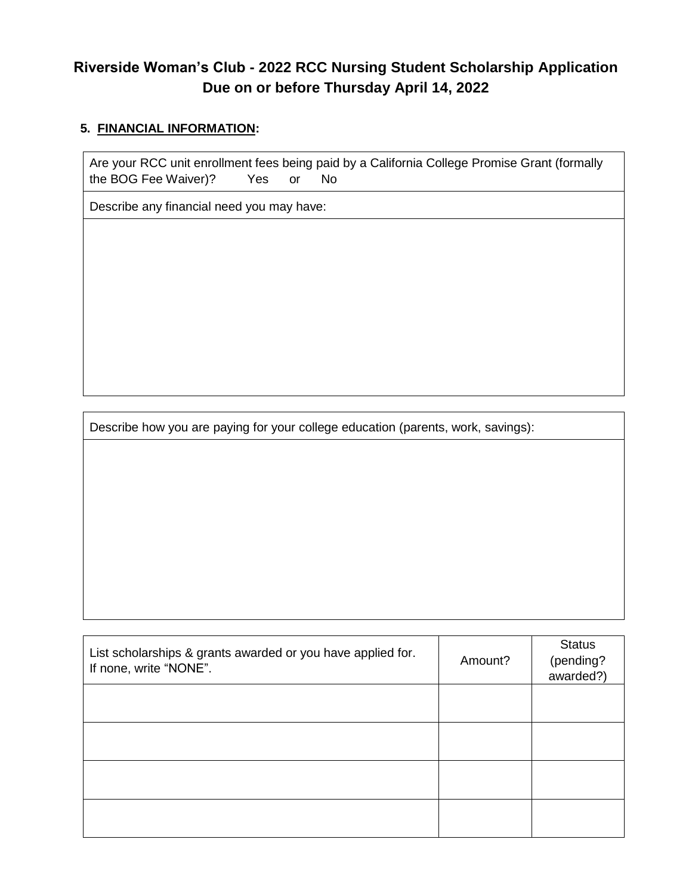## **Riverside Woman's Club - 2022 RCC Nursing Student Scholarship Application Due on or before Thursday April 14, 2022**

### **5. FINANCIAL INFORMATION:**

Are your RCC unit enrollment fees being paid by a California College Promise Grant (formally the BOG Fee Waiver)? Yes or No

Describe any financial need you may have:

Describe how you are paying for your college education (parents, work, savings):

| List scholarships & grants awarded or you have applied for.<br>If none, write "NONE". | Amount? | <b>Status</b><br>(pending?<br>awarded?) |
|---------------------------------------------------------------------------------------|---------|-----------------------------------------|
|                                                                                       |         |                                         |
|                                                                                       |         |                                         |
|                                                                                       |         |                                         |
|                                                                                       |         |                                         |